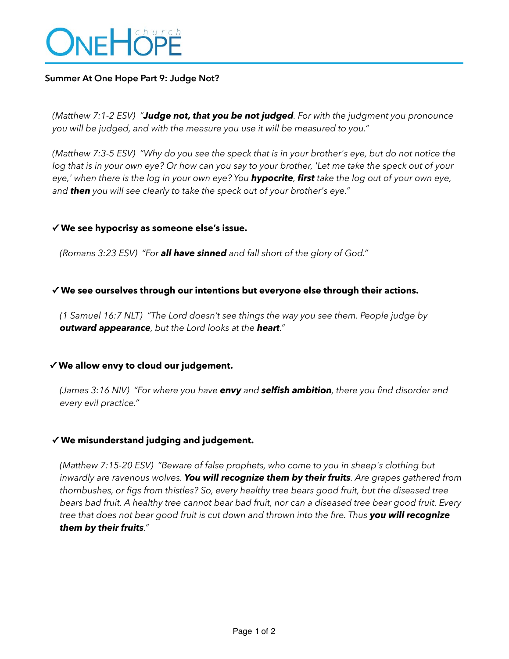

## **Summer At One Hope Part 9: Judge Not?**

*(Matthew 7:1-2 ESV) "Judge not, that you be not judged. For with the judgment you pronounce you will be judged, and with the measure you use it will be measured to you."* 

*(Matthew 7:3-5 ESV) "Why do you see the speck that is in your brother's eye, but do not notice the log that is in your own eye? Or how can you say to your brother, 'Let me take the speck out of your eye,' when there is the log in your own eye? You hypocrite, first take the log out of your own eye, and then you will see clearly to take the speck out of your brother's eye."* 

### **✓ We see hypocrisy as someone else's issue.**

*(Romans 3:23 ESV) "For all have sinned and fall short of the glory of God."* 

### **✓ We see ourselves through our intentions but everyone else through their actions.**

*(1 Samuel 16:7 NLT) "The Lord doesn't see things the way you see them. People judge by outward appearance, but the Lord looks at the heart."* 

#### **✓ We allow envy to cloud our judgement.**

*(James 3:16 NIV) "For where you have envy and selfish ambition, there you find disorder and every evil practice."* 

#### **✓ We misunderstand judging and judgement.**

*(Matthew 7:15-20 ESV) "Beware of false prophets, who come to you in sheep's clothing but inwardly are ravenous wolves. You will recognize them by their fruits. Are grapes gathered from thornbushes, or figs from thistles? So, every healthy tree bears good fruit, but the diseased tree bears bad fruit. A healthy tree cannot bear bad fruit, nor can a diseased tree bear good fruit. Every tree that does not bear good fruit is cut down and thrown into the fire. Thus you will recognize them by their fruits."*